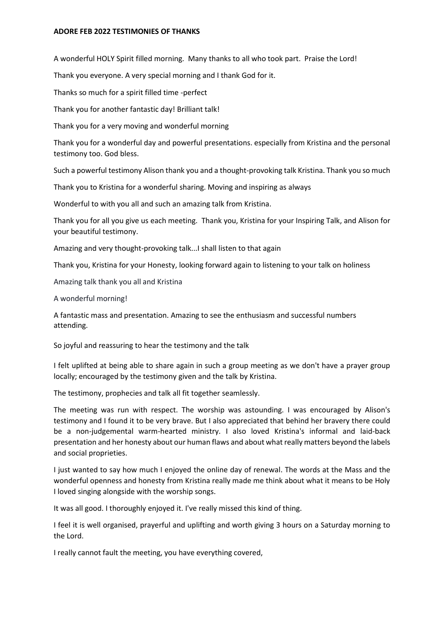## **ADORE FEB 2022 TESTIMONIES OF THANKS**

A wonderful HOLY Spirit filled morning. Many thanks to all who took part. Praise the Lord!

Thank you everyone. A very special morning and I thank God for it.

Thanks so much for a spirit filled time -perfect

Thank you for another fantastic day! Brilliant talk!

Thank you for a very moving and wonderful morning

Thank you for a wonderful day and powerful presentations. especially from Kristina and the personal testimony too. God bless.

Such a powerful testimony Alison thank you and a thought-provoking talk Kristina. Thank you so much

Thank you to Kristina for a wonderful sharing. Moving and inspiring as always

Wonderful to with you all and such an amazing talk from Kristina.

Thank you for all you give us each meeting. Thank you, Kristina for your Inspiring Talk, and Alison for your beautiful testimony.

Amazing and very thought-provoking talk...I shall listen to that again

Thank you, Kristina for your Honesty, looking forward again to listening to your talk on holiness

Amazing talk thank you all and Kristina

A wonderful morning!

A fantastic mass and presentation. Amazing to see the enthusiasm and successful numbers attending.

So joyful and reassuring to hear the testimony and the talk

I felt uplifted at being able to share again in such a group meeting as we don't have a prayer group locally; encouraged by the testimony given and the talk by Kristina.

The testimony, prophecies and talk all fit together seamlessly.

The meeting was run with respect. The worship was astounding. I was encouraged by Alison's testimony and I found it to be very brave. But I also appreciated that behind her bravery there could be a non-judgemental warm-hearted ministry. I also loved Kristina's informal and laid-back presentation and her honesty about our human flaws and about what really matters beyond the labels and social proprieties.

I just wanted to say how much I enjoyed the online day of renewal. The words at the Mass and the wonderful openness and honesty from Kristina really made me think about what it means to be Holy I loved singing alongside with the worship songs.

It was all good. I thoroughly enjoyed it. I've really missed this kind of thing.

I feel it is well organised, prayerful and uplifting and worth giving 3 hours on a Saturday morning to the Lord.

I really cannot fault the meeting, you have everything covered,